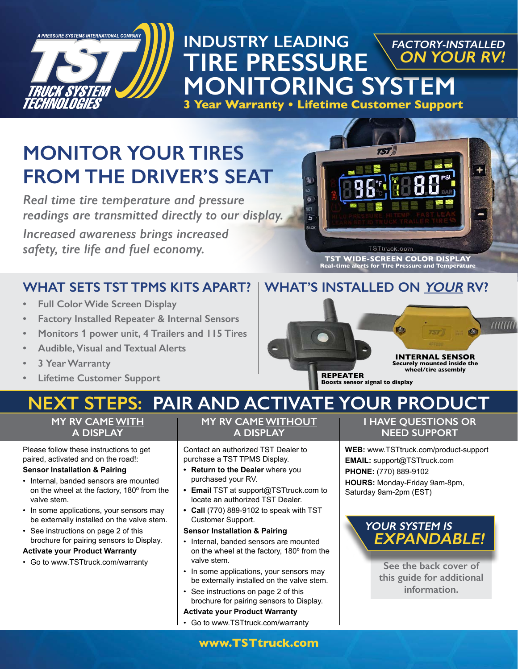

## **INDUSTRY LEADING TIRE PRESSURE MONITORING SYSTEM FACTORY-INSTALLED ON YOUR RV!**

**3 Year Warranty • Lifetime Customer Support**

# **MONITOR YOUR TIRES FROM THE DRIVER'S SEAT**

*Real time tire temperature and pressure readings are transmitted directly to our display.*

*Increased awareness brings increased safety, tire life and fuel economy.*

## **WHAT SETS TST TPMS KITS APART?**

- **• Full Color Wide Screen Display**
- **• Factory Installed Repeater & Internal Sensors**
- **• Monitors 1 power unit, 4 Trailers and 115 Tires**
- **• Audible, Visual and Textual Alerts**
- **• 3 Year Warranty**
- **• Lifetime Customer Support**



# **WHAT'S INSTALLED ON YOUR RV?**



# **PAIR AND ACTIVATE YOUR PRODUCT**

### **MY RV CAME WITH A DISPLAY**

Please follow these instructions to get paired, activated and on the road!:

#### **Sensor Installation & Pairing**

- Internal, banded sensors are mounted on the wheel at the factory, 180º from the valve stem.
- In some applications, your sensors may be externally installed on the valve stem.
- See instructions on page 2 of this brochure for pairing sensors to Display.

#### **Activate your Product Warranty**

• Go to www.TSTtruck.com/warranty

### **MY RV CAME WITHOUT A DISPLAY**

Contact an authorized TST Dealer to purchase a TST TPMS Display.

- **• Return to the Dealer** where you purchased your RV.
- **• Email** TST at support@TSTtruck.com to locate an authorized TST Dealer.
- **• Call** (770) 889-9102 to speak with TST Customer Support.

#### **Sensor Installation & Pairing**

- Internal, banded sensors are mounted on the wheel at the factory, 180º from the valve stem.
- In some applications, your sensors may be externally installed on the valve stem.
- See instructions on page 2 of this brochure for pairing sensors to Display.

#### **Activate your Product Warranty**

• Go to www.TSTtruck.com/warranty

**I HAVE QUESTIONS OR NEED SUPPORT**

**WEB:** www.TSTtruck.com/product-support **EMAIL:** support@TSTtruck.com **PHONE:** (770) 889-9102 **HOURS:** Monday-Friday 9am-8pm, Saturday 9am-2pm (EST)

## **YOUR SYSTEM IS EXPANDABLE!**

**See the back cover of this guide for additional information.**

**www.TSTtruck.com**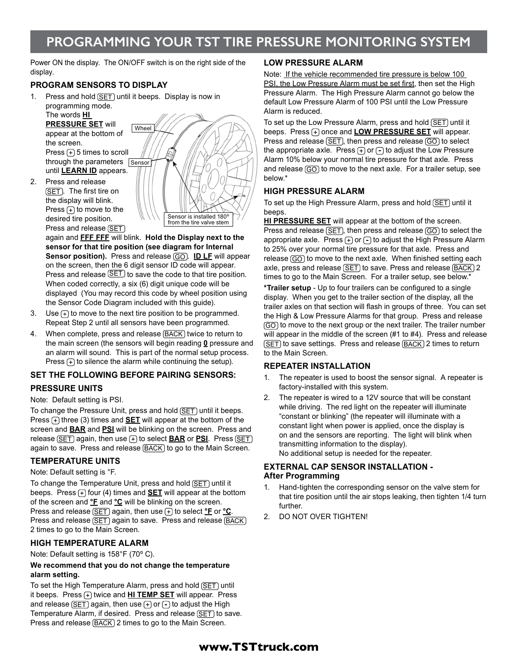# **PROGRAMMING YOUR TST TIRE PRESSURE MONITORING SYSTEM**

Power ON the display. The ON/OFF switch is on the right side of the display.

#### **PROGRAM SENSORS TO DISPLAY**

1. Press and hold  $(SET)$  until it beeps. Display is now in programming mode.

The words **HI PRESSURE SET** will appear at the bottom of the screen. Press  $\left( + \right)$  5 times to scroll through the parameters Sensor until **LEARN ID** appears.

2. Press and release (SET). The first tire on the display will blink. Press  $\left( + \right)$  to move to the desired tire position. Press and release (SET)



again and **FFF FFF** will blink. **Hold the Display next to the sensor for that tire position (see diagram for Internal Sensor position).** Press and release (GO). **ID LF** will appear on the screen, then the 6 digit sensor ID code will appear. Press and release  $\overline{\text{SET}}$  to save the code to that tire position. When coded correctly, a six (6) digit unique code will be displayed (You may record this code by wheel position using the Sensor Code Diagram included with this guide).

- 3. Use  $\left( +\right)$  to move to the next tire position to be programmed. Repeat Step 2 until all sensors have been programmed.
- 4. When complete, press and release (BACK) twice to return to the main screen (the sensors will begin reading **0** pressure and an alarm will sound. This is part of the normal setup process. Press  $F$  to silence the alarm while continuing the setup).

#### **SET THE FOLLOWING BEFORE PAIRING SENSORS:**

#### **PRESSURE UNITS**

#### Note: Default setting is PSI.

To change the Pressure Unit, press and hold (SET) until it beeps. Press  $\left(\frac{1}{\sqrt{2}}\right)$  three (3) times and **SET** will appear at the bottom of the screen and **BAR** and **PSI** will be blinking on the screen. Press and release  $\overline{\text{SET}}$  again, then use  $\overline{+}$  to select **BAR** or **PSI**. Press  $\overline{\text{SET}}$ again to save. Press and release **BACK** to go to the Main Screen.

#### **TEMPERATURE UNITS**

#### Note: Default setting is °F.

To change the Temperature Unit, press and hold (SET) until it beeps. Press  $\left(\frac{1}{2}\right)$  four (4) times and **SET** will appear at the bottom of the screen and **°F** and **°C** will be blinking on the screen. Press and release (SET) again, then use (+) to select *°F* or *°C*. Press and release (SET) again to save. Press and release (BACK) 2 times to go to the Main Screen.

#### **HIGH TEMPERATURE ALARM**

Note: Default setting is 158°F (70º C).

#### **We recommend that you do not change the temperature alarm setting.**

To set the High Temperature Alarm, press and hold (SET) until it beeps. Press (+) twice and **HI TEMP SET** will appear. Press and release  $(SET)$  again, then use  $\left( \cdot \right)$  or  $\left( \cdot \right)$  to adjust the High Temperature Alarm, if desired. Press and release (SET) to save. Press and release (BACK) 2 times to go to the Main Screen.

#### **LOW PRESSURE ALARM**

Note: If the vehicle recommended tire pressure is below 100 PSI, the Low Pressure Alarm must be set first, then set the High Pressure Alarm. The High Pressure Alarm cannot go below the default Low Pressure Alarm of 100 PSI until the Low Pressure Alarm is reduced.

To set up the Low Pressure Alarm, press and hold (SET) until it beeps. Press (+) once and **LOW PRESSURE SET** will appear. Press and release  $\sqrt{SET}$ , then press and release  $\sqrt{GO}$  to select the appropriate axle. Press  $\left( +\right)$  or  $\left( -\right)$  to adjust the Low Pressure Alarm 10% below your normal tire pressure for that axle. Press and release  $\circled{G}$  to move to the next axle. For a trailer setup, see below.\*

#### **HIGH PRESSURE ALARM**

To set up the High Pressure Alarm, press and hold (SET) until it beeps.

**HI PRESSURE SET** will appear at the bottom of the screen. Press and release  $(SET)$ , then press and release  $(GO)$  to select the appropriate axle. Press  $\left( \cdot \right)$  or  $\left( \cdot \right)$  to adjust the High Pressure Alarm to 25% over your normal tire pressure for that axle. Press and release (GO) to move to the next axle. When finished setting each axle, press and release (SET) to save. Press and release (BACK) 2 times to go to the Main Screen. For a trailer setup, see below.\*

**\*Trailer setup** - Up to four trailers can be configured to a single display. When you get to the trailer section of the display, all the trailer axles on that section will flash in groups of three. You can set the High & Low Pressure Alarms for that group. Press and release GO to move to the next group or the next trailer. The trailer number will appear in the middle of the screen (#1 to #4). Press and release (SET) to save settings. Press and release (BACK) 2 times to return to the Main Screen.

#### **REPEATER INSTALLATION**

- 1. The repeater is used to boost the sensor signal. A repeater is factory-installed with this system.
- 2. The repeater is wired to a 12V source that will be constant while driving. The red light on the repeater will illuminate "constant or blinking" (the repeater will illuminate with a constant light when power is applied, once the display is on and the sensors are reporting. The light will blink when transmitting information to the display). No additional setup is needed for the repeater.

#### **EXTERNAL CAP SENSOR INSTALLATION - After Programming**

- 1. Hand-tighten the corresponding sensor on the valve stem for that tire position until the air stops leaking, then tighten 1/4 turn further.
- 2. DO NOT OVER TIGHTEN!

### **www.TSTtruck.com**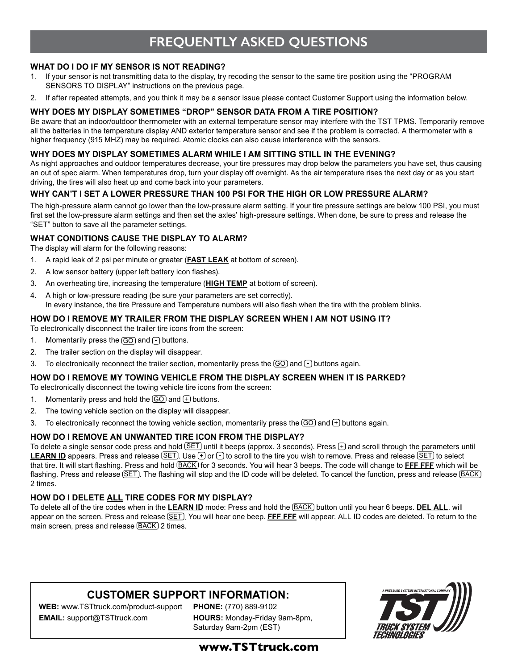# **FREQUENTLY ASKED QUESTIONS**

#### **WHAT DO I DO IF MY SENSOR IS NOT READING?**

- 1. If your sensor is not transmitting data to the display, try recoding the sensor to the same tire position using the "PROGRAM SENSORS TO DISPLAY" instructions on the previous page.
- 2. If after repeated attempts, and you think it may be a sensor issue please contact Customer Support using the information below.

#### **WHY DOES MY DISPLAY SOMETIMES "DROP" SENSOR DATA FROM A TIRE POSITION?**

Be aware that an indoor/outdoor thermometer with an external temperature sensor may interfere with the TST TPMS. Temporarily remove all the batteries in the temperature display AND exterior temperature sensor and see if the problem is corrected. A thermometer with a higher frequency (915 MHZ) may be required. Atomic clocks can also cause interference with the sensors.

#### **WHY DOES MY DISPLAY SOMETIMES ALARM WHILE I AM SITTING STILL IN THE EVENING?**

As night approaches and outdoor temperatures decrease, your tire pressures may drop below the parameters you have set, thus causing an out of spec alarm. When temperatures drop, turn your display off overnight. As the air temperature rises the next day or as you start driving, the tires will also heat up and come back into your parameters.

#### **WHY CAN'T I SET A LOWER PRESSURE THAN 100 PSI FOR THE HIGH OR LOW PRESSURE ALARM?**

The high-pressure alarm cannot go lower than the low-pressure alarm setting. If your tire pressure settings are below 100 PSI, you must first set the low-pressure alarm settings and then set the axles' high-pressure settings. When done, be sure to press and release the "SET" button to save all the parameter settings.

#### **WHAT CONDITIONS CAUSE THE DISPLAY TO ALARM?**

The display will alarm for the following reasons:

- 1. A rapid leak of 2 psi per minute or greater (**FAST LEAK** at bottom of screen).
- 2. A low sensor battery (upper left battery icon flashes).
- 3. An overheating tire, increasing the temperature (**HIGH TEMP** at bottom of screen).
- 4. A high or low-pressure reading (be sure your parameters are set correctly). In every instance, the tire Pressure and Temperature numbers will also flash when the tire with the problem blinks.

#### **HOW DO I REMOVE MY TRAILER FROM THE DISPLAY SCREEN WHEN I AM NOT USING IT?**

To electronically disconnect the trailer tire icons from the screen:

- 1. Momentarily press the  $\overline{GO}$  and  $\overline{\bigcap}$  buttons.
- 2. The trailer section on the display will disappear.
- 3. To electronically reconnect the trailer section, momentarily press the  $\overline{GO}$  and  $\overline{C}$  buttons again.

#### **HOW DO I REMOVE MY TOWING VEHICLE FROM THE DISPLAY SCREEN WHEN IT IS PARKED?**

To electronically disconnect the towing vehicle tire icons from the screen:

- 1. Momentarily press and hold the  $\overline{GO}$  and  $\overline{+}$  buttons.
- 2. The towing vehicle section on the display will disappear.
- 3. To electronically reconnect the towing vehicle section, momentarily press the  $\circled{60}$  and  $\leftrightarrow$  buttons again.

#### **HOW DO I REMOVE AN UNWANTED TIRE ICON FROM THE DISPLAY?**

To delete a single sensor code press and hold  $\boxed{\text{SET}}$  until it beeps (approx. 3 seconds). Press  $\boxed{\pm}$  and scroll through the parameters until **LEARN ID** appears. Press and release  $\boxed{\text{SET}}$ . Use  $\oplus$  or  $\ominus$  to scroll to the tire you wish to remove. Press and release  $\boxed{\text{SET}}$  to select that tire. It will start flashing. Press and hold BACK for 3 seconds. You will hear 3 beeps. The code will change to **FFF FFF** which will be flashing. Press and release (SET). The flashing will stop and the ID code will be deleted. To cancel the function, press and release (BACK) 2 times.

#### **HOW DO I DELETE ALL TIRE CODES FOR MY DISPLAY?**

To delete all of the tire codes when in the **LEARN ID** mode: Press and hold the BACK button until you hear 6 beeps. **DEL ALL**. will appear on the screen. Press and release **SET**), You will hear one beep. FFF FFF will appear. ALL ID codes are deleted. To return to the main screen, press and release **BACK** 2 times.

### **CUSTOMER SUPPORT INFORMATION:**

**WEB:** www.TSTtruck.com/product-support **EMAIL:** support@TSTtruck.com

**PHONE:** (770) 889-9102 **HOURS:** Monday-Friday 9am-8pm, Saturday 9am-2pm (EST)



### **www.TSTtruck.com**